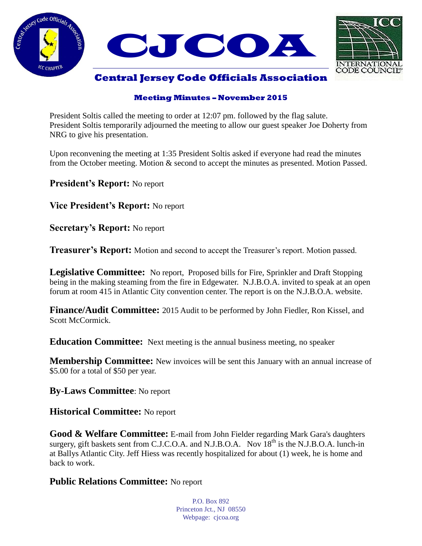



# **Central Jersey Code Officials Association**

#### **Meeting Minutes – November 2015**

President Soltis called the meeting to order at 12:07 pm. followed by the flag salute. President Soltis temporarily adjourned the meeting to allow our guest speaker Joe Doherty from NRG to give his presentation.

Upon reconvening the meeting at 1:35 President Soltis asked if everyone had read the minutes from the October meeting. Motion & second to accept the minutes as presented. Motion Passed.

**President's Report:** No report

**Vice President's Report:** No report

**Secretary's Report:** No report

**Treasurer's Report:** Motion and second to accept the Treasurer's report. Motion passed.

**Legislative Committee:** No report, Proposed bills for Fire, Sprinkler and Draft Stopping being in the making steaming from the fire in Edgewater. N.J.B.O.A. invited to speak at an open forum at room 415 in Atlantic City convention center. The report is on the N.J.B.O.A. website.

**Finance/Audit Committee:** 2015 Audit to be performed by John Fiedler, Ron Kissel, and Scott McCormick.

**Education Committee:** Next meeting is the annual business meeting, no speaker

**Membership Committee:** New invoices will be sent this January with an annual increase of \$5.00 for a total of \$50 per year.

**By-Laws Committee**: No report

**Historical Committee:** No report

**Good & Welfare Committee:** E-mail from John Fielder regarding Mark Gara's daughters surgery, gift baskets sent from C.J.C.O.A. and N.J.B.O.A. Nov  $18<sup>th</sup>$  is the N.J.B.O.A. lunch-in at Ballys Atlantic City. Jeff Hiess was recently hospitalized for about (1) week, he is home and back to work.

# **Public Relations Committee:** No report

P.O. Box 892 Princeton Jct., NJ 08550 Webpage: cjcoa.org